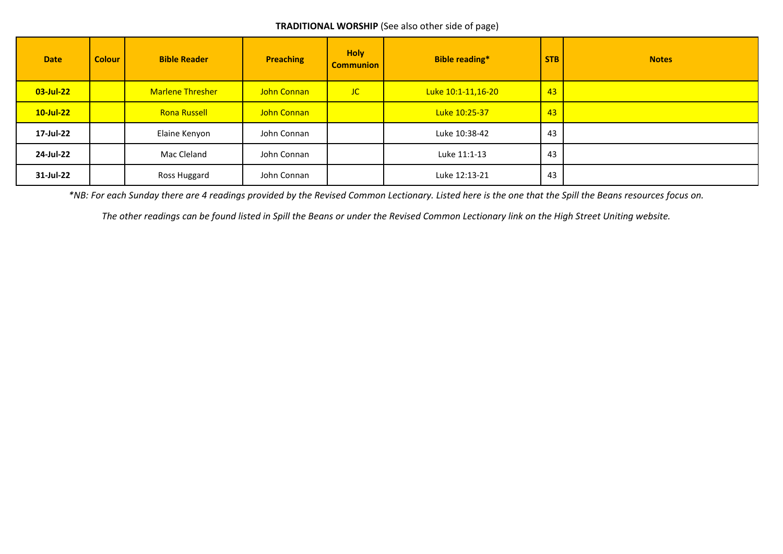## **TRADITIONAL WORSHIP** (See also other side of page)

| <b>Date</b>  | <b>Colour</b> | <b>Bible Reader</b>     | <b>Preaching</b> | <b>Holy</b><br><b>Communion</b> | <b>Bible reading*</b> | <b>STB</b> | <b>Notes</b> |
|--------------|---------------|-------------------------|------------------|---------------------------------|-----------------------|------------|--------------|
| $03$ -Jul-22 |               | <b>Marlene Thresher</b> | John Connan      | <b>JC</b>                       | Luke 10:1-11,16-20    | 43         |              |
| $10$ -Jul-22 |               | <b>Rona Russell</b>     | John Connan      |                                 | Luke 10:25-37         | 43         |              |
| 17-Jul-22    |               | Elaine Kenyon           | John Connan      |                                 | Luke 10:38-42         | 43         |              |
| 24-Jul-22    |               | Mac Cleland             | John Connan      |                                 | Luke 11:1-13          | 43         |              |
| 31-Jul-22    |               | Ross Huggard            | John Connan      |                                 | Luke 12:13-21         | 43         |              |

*\*NB: For each Sunday there are 4 readings provided by the Revised Common Lectionary. Listed here is the one that the Spill the Beans resources focus on.*

*The other readings can be found listed in Spill the Beans or under the Revised Common Lectionary link on the High Street Uniting website.*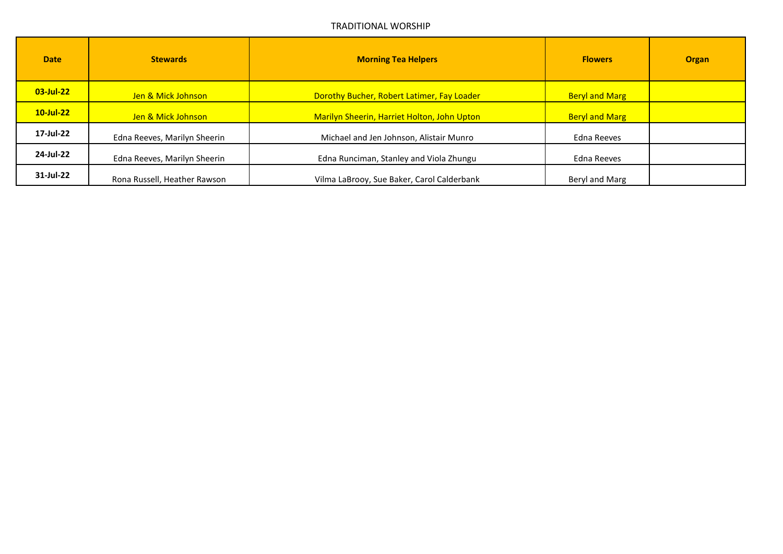## TRADITIONAL WORSHIP

| <b>Date</b>  | <b>Stewards</b>              | <b>Morning Tea Helpers</b>                  | <b>Flowers</b>        | <b>Organ</b> |
|--------------|------------------------------|---------------------------------------------|-----------------------|--------------|
| $03$ -Jul-22 | Jen & Mick Johnson           | Dorothy Bucher, Robert Latimer, Fay Loader  | <b>Beryl and Marg</b> |              |
| $10$ -Jul-22 | Jen & Mick Johnson           | Marilyn Sheerin, Harriet Holton, John Upton | <b>Beryl and Marg</b> |              |
| 17-Jul-22    | Edna Reeves, Marilyn Sheerin | Michael and Jen Johnson, Alistair Munro     | Edna Reeves           |              |
| 24-Jul-22    | Edna Reeves, Marilyn Sheerin | Edna Runciman, Stanley and Viola Zhungu     | Edna Reeves           |              |
| 31-Jul-22    | Rona Russell, Heather Rawson | Vilma LaBrooy, Sue Baker, Carol Calderbank  | Beryl and Marg        |              |